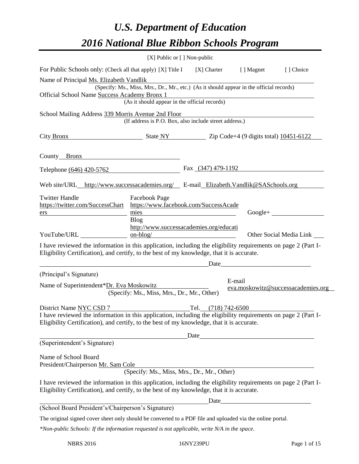# *U.S. Department of Education 2016 National Blue Ribbon Schools Program*

|                                                                                                                                                                                                                                         |                                               | [X] Public or [] Non-public                            |                                                                                          |
|-----------------------------------------------------------------------------------------------------------------------------------------------------------------------------------------------------------------------------------------|-----------------------------------------------|--------------------------------------------------------|------------------------------------------------------------------------------------------|
| For Public Schools only: (Check all that apply) [X] Title I                                                                                                                                                                             |                                               | [X] Charter [] Magnet                                  | [] Choice                                                                                |
| Name of Principal Ms. Elizabeth Vandlik                                                                                                                                                                                                 |                                               |                                                        |                                                                                          |
| Official School Name Success Academy Bronx 1                                                                                                                                                                                            |                                               |                                                        | (Specify: Ms., Miss, Mrs., Dr., Mr., etc.) (As it should appear in the official records) |
|                                                                                                                                                                                                                                         | (As it should appear in the official records) |                                                        |                                                                                          |
| School Mailing Address 339 Morris Avenue 2nd Floor                                                                                                                                                                                      |                                               |                                                        |                                                                                          |
|                                                                                                                                                                                                                                         |                                               | (If address is P.O. Box, also include street address.) |                                                                                          |
| City Bronx State NY State NY 2ip Code+4 (9 digits total) $10451-6122$                                                                                                                                                                   |                                               |                                                        |                                                                                          |
| County Bronx 2008                                                                                                                                                                                                                       |                                               |                                                        |                                                                                          |
| Telephone (646) 420-5762                                                                                                                                                                                                                |                                               | Fax (347) 479-1192                                     |                                                                                          |
| Web site/URL http://www.successacademies.org/ E-mail Elizabeth.Vandlik@SASchools.org                                                                                                                                                    |                                               |                                                        |                                                                                          |
| <b>Twitter Handle</b><br>https://twitter.com/SuccessChart https://www.facebook.com/SuccessAcade<br>ers                                                                                                                                  | Facebook Page<br>mies                         |                                                        | $Google+$                                                                                |
|                                                                                                                                                                                                                                         | <b>Blog</b>                                   |                                                        |                                                                                          |
|                                                                                                                                                                                                                                         | $on-blog/$                                    | http://www.successacademies.org/educati                | Other Social Media Link _____                                                            |
| I have reviewed the information in this application, including the eligibility requirements on page 2 (Part I-<br>Eligibility Certification), and certify, to the best of my knowledge, that it is accurate.                            |                                               |                                                        |                                                                                          |
|                                                                                                                                                                                                                                         |                                               |                                                        |                                                                                          |
| (Principal's Signature)                                                                                                                                                                                                                 |                                               |                                                        | E-mail                                                                                   |
| Name of Superintendent*Dr. Eva Moskowitz                                                                                                                                                                                                | (Specify: Ms., Miss, Mrs., Dr., Mr., Other)   |                                                        | eva.moskowitz@successacademies.org                                                       |
| District Name NYC CSD 7                                                                                                                                                                                                                 |                                               |                                                        |                                                                                          |
| District Name NYC CSD 7<br>I have reviewed the information in this application, including the eligibility requirements on page 2 (Part I-<br>Eligibility Certification), and certify, to the best of my knowledge, that it is accurate. |                                               |                                                        |                                                                                          |
|                                                                                                                                                                                                                                         |                                               |                                                        |                                                                                          |
| (Superintendent's Signature)                                                                                                                                                                                                            |                                               |                                                        |                                                                                          |
| Name of School Board<br>President/Chairperson Mr. Sam Cole                                                                                                                                                                              |                                               |                                                        |                                                                                          |
|                                                                                                                                                                                                                                         |                                               | (Specify: Ms., Miss, Mrs., Dr., Mr., Other)            |                                                                                          |
| I have reviewed the information in this application, including the eligibility requirements on page 2 (Part I-<br>Eligibility Certification), and certify, to the best of my knowledge, that it is accurate.                            |                                               |                                                        |                                                                                          |
|                                                                                                                                                                                                                                         |                                               |                                                        |                                                                                          |
| (School Board President's/Chairperson's Signature)                                                                                                                                                                                      |                                               |                                                        |                                                                                          |
| The original signed cover sheet only should be converted to a PDF file and uploaded via the online portal.                                                                                                                              |                                               |                                                        |                                                                                          |
| $*$ Non-public Schools: If the information requested is not applicable, write $N/A$ in the space.                                                                                                                                       |                                               |                                                        |                                                                                          |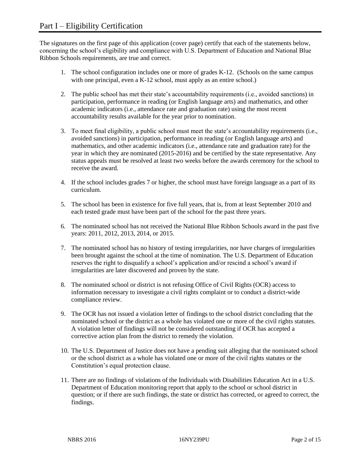The signatures on the first page of this application (cover page) certify that each of the statements below, concerning the school's eligibility and compliance with U.S. Department of Education and National Blue Ribbon Schools requirements, are true and correct.

- 1. The school configuration includes one or more of grades K-12. (Schools on the same campus with one principal, even a K-12 school, must apply as an entire school.)
- 2. The public school has met their state's accountability requirements (i.e., avoided sanctions) in participation, performance in reading (or English language arts) and mathematics, and other academic indicators (i.e., attendance rate and graduation rate) using the most recent accountability results available for the year prior to nomination.
- 3. To meet final eligibility, a public school must meet the state's accountability requirements (i.e., avoided sanctions) in participation, performance in reading (or English language arts) and mathematics, and other academic indicators (i.e., attendance rate and graduation rate) for the year in which they are nominated (2015-2016) and be certified by the state representative. Any status appeals must be resolved at least two weeks before the awards ceremony for the school to receive the award.
- 4. If the school includes grades 7 or higher, the school must have foreign language as a part of its curriculum.
- 5. The school has been in existence for five full years, that is, from at least September 2010 and each tested grade must have been part of the school for the past three years.
- 6. The nominated school has not received the National Blue Ribbon Schools award in the past five years: 2011, 2012, 2013, 2014, or 2015.
- 7. The nominated school has no history of testing irregularities, nor have charges of irregularities been brought against the school at the time of nomination. The U.S. Department of Education reserves the right to disqualify a school's application and/or rescind a school's award if irregularities are later discovered and proven by the state.
- 8. The nominated school or district is not refusing Office of Civil Rights (OCR) access to information necessary to investigate a civil rights complaint or to conduct a district-wide compliance review.
- 9. The OCR has not issued a violation letter of findings to the school district concluding that the nominated school or the district as a whole has violated one or more of the civil rights statutes. A violation letter of findings will not be considered outstanding if OCR has accepted a corrective action plan from the district to remedy the violation.
- 10. The U.S. Department of Justice does not have a pending suit alleging that the nominated school or the school district as a whole has violated one or more of the civil rights statutes or the Constitution's equal protection clause.
- 11. There are no findings of violations of the Individuals with Disabilities Education Act in a U.S. Department of Education monitoring report that apply to the school or school district in question; or if there are such findings, the state or district has corrected, or agreed to correct, the findings.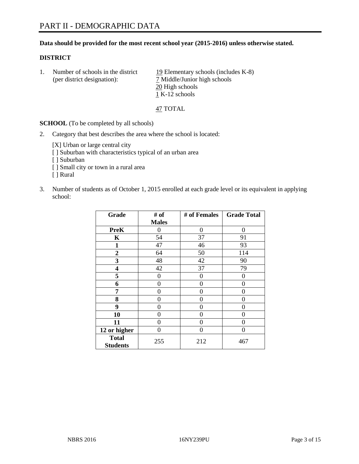## **Data should be provided for the most recent school year (2015-2016) unless otherwise stated.**

#### **DISTRICT**

| Number of schools in the district<br>(per district designation): | 19 Elementary schools (includes K-8)<br>7 Middle/Junior high schools |  |
|------------------------------------------------------------------|----------------------------------------------------------------------|--|
|                                                                  | 20 High schools                                                      |  |
|                                                                  | 1 K-12 schools                                                       |  |

47 TOTAL

**SCHOOL** (To be completed by all schools)

2. Category that best describes the area where the school is located:

[X] Urban or large central city [ ] Suburban with characteristics typical of an urban area [ ] Suburban

- [ ] Small city or town in a rural area
- [ ] Rural
- 3. Number of students as of October 1, 2015 enrolled at each grade level or its equivalent in applying school:

| Grade                           | # of         | # of Females | <b>Grade Total</b> |
|---------------------------------|--------------|--------------|--------------------|
|                                 | <b>Males</b> |              |                    |
| <b>PreK</b>                     | 0            | 0            | $\Omega$           |
| $\mathbf K$                     | 54           | 37           | 91                 |
| 1                               | 47           | 46           | 93                 |
| 2                               | 64           | 50           | 114                |
| 3                               | 48           | 42           | 90                 |
| 4                               | 42           | 37           | 79                 |
| 5                               | 0            | 0            | 0                  |
| 6                               | 0            | 0            | 0                  |
| 7                               | 0            | 0            | $\Omega$           |
| 8                               | 0            | 0            | 0                  |
| 9                               | 0            | 0            | 0                  |
| 10                              | $\theta$     | 0            | $\theta$           |
| 11                              | 0            | 0            | 0                  |
| 12 or higher                    | 0            | 0            | $\Omega$           |
| <b>Total</b><br><b>Students</b> | 255          | 212          | 467                |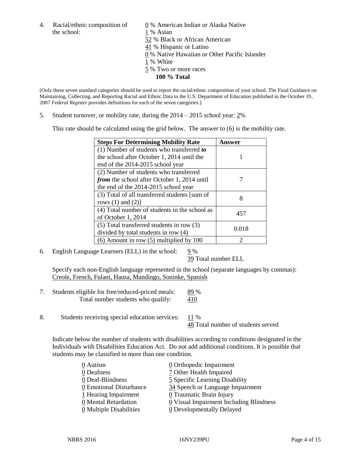the school: 1 % Asian

4. Racial/ethnic composition of  $\underline{0}$  % American Indian or Alaska Native 52 % Black or African American 41 % Hispanic or Latino 0 % Native Hawaiian or Other Pacific Islander 1 % White 5 % Two or more races **100 % Total**

(Only these seven standard categories should be used to report the racial/ethnic composition of your school. The Final Guidance on Maintaining, Collecting, and Reporting Racial and Ethnic Data to the U.S. Department of Education published in the October 19, 2007 *Federal Register* provides definitions for each of the seven categories.)

5. Student turnover, or mobility rate, during the 2014 – 2015 school year: 2%

This rate should be calculated using the grid below. The answer to (6) is the mobility rate.

| <b>Steps For Determining Mobility Rate</b>    | Answer |  |
|-----------------------------------------------|--------|--|
| $(1)$ Number of students who transferred to   |        |  |
| the school after October 1, 2014 until the    |        |  |
| end of the 2014-2015 school year              |        |  |
| (2) Number of students who transferred        |        |  |
| from the school after October 1, 2014 until   |        |  |
| the end of the 2014-2015 school year          |        |  |
| (3) Total of all transferred students [sum of | 8      |  |
| rows $(1)$ and $(2)$ ]                        |        |  |
| (4) Total number of students in the school as | 457    |  |
| of October 1, 2014                            |        |  |
| (5) Total transferred students in row (3)     | 0.018  |  |
| divided by total students in row (4)          |        |  |
| $(6)$ Amount in row $(5)$ multiplied by 100   |        |  |

6. English Language Learners (ELL) in the school:  $9\%$ 

39 Total number ELL

Specify each non-English language represented in the school (separate languages by commas): Creole, French, Fulani, Hausa, Mandingo, Soninke, Spanish

- 7. Students eligible for free/reduced-priced meals: 89 % Total number students who qualify:  $410$
- 8. Students receiving special education services: 11 %

48 Total number of students served

Indicate below the number of students with disabilities according to conditions designated in the Individuals with Disabilities Education Act. Do not add additional conditions. It is possible that students may be classified in more than one condition.

| 0 Autism                | $\underline{0}$ Orthopedic Impairment   |
|-------------------------|-----------------------------------------|
| 0 Deafness              | 7 Other Health Impaired                 |
| 0 Deaf-Blindness        | 5 Specific Learning Disability          |
| 0 Emotional Disturbance | 34 Speech or Language Impairment        |
| 1 Hearing Impairment    | 0 Traumatic Brain Injury                |
| 0 Mental Retardation    | 0 Visual Impairment Including Blindness |
| 0 Multiple Disabilities | 0 Developmentally Delayed               |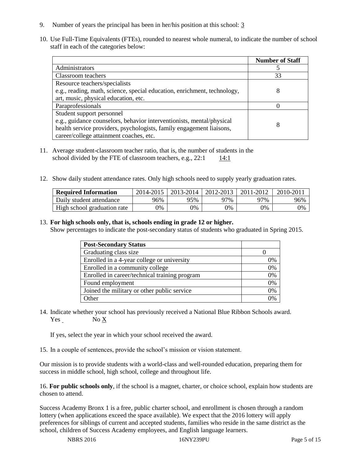- 9. Number of years the principal has been in her/his position at this school: 3
- 10. Use Full-Time Equivalents (FTEs), rounded to nearest whole numeral, to indicate the number of school staff in each of the categories below:

|                                                                          | <b>Number of Staff</b> |
|--------------------------------------------------------------------------|------------------------|
| Administrators                                                           |                        |
| Classroom teachers                                                       | 33                     |
| Resource teachers/specialists                                            |                        |
| e.g., reading, math, science, special education, enrichment, technology, | 8                      |
| art, music, physical education, etc.                                     |                        |
| Paraprofessionals                                                        |                        |
| Student support personnel                                                |                        |
| e.g., guidance counselors, behavior interventionists, mental/physical    | 8                      |
| health service providers, psychologists, family engagement liaisons,     |                        |
| career/college attainment coaches, etc.                                  |                        |

- 11. Average student-classroom teacher ratio, that is, the number of students in the school divided by the FTE of classroom teachers, e.g.,  $22:1$  14:1
- 12. Show daily student attendance rates. Only high schools need to supply yearly graduation rates.

| <b>Required Information</b> | 2014-2015 | 2013-2014   2012-2013 |     | 2011-2012 | $2010 - 2011$ |
|-----------------------------|-----------|-----------------------|-----|-----------|---------------|
| Daily student attendance    | 96%       | 95%                   | 97% | 97%       | 96%           |
| High school graduation rate | 9%        | $0\%$                 | 0%  | 9%        | 0%            |

## 13. **For high schools only, that is, schools ending in grade 12 or higher.**

Show percentages to indicate the post-secondary status of students who graduated in Spring 2015.

| <b>Post-Secondary Status</b>                  |                |
|-----------------------------------------------|----------------|
| Graduating class size                         |                |
| Enrolled in a 4-year college or university    | 0%             |
| Enrolled in a community college               | 0%             |
| Enrolled in career/technical training program | 0%             |
| Found employment                              | 0%             |
| Joined the military or other public service   | 0%             |
| Other                                         | $\frac{10}{4}$ |

14. Indicate whether your school has previously received a National Blue Ribbon Schools award. Yes No X

If yes, select the year in which your school received the award.

15. In a couple of sentences, provide the school's mission or vision statement.

Our mission is to provide students with a world-class and well-rounded education, preparing them for success in middle school, high school, college and throughout life.

16. **For public schools only**, if the school is a magnet, charter, or choice school, explain how students are chosen to attend.

Success Academy Bronx 1 is a free, public charter school, and enrollment is chosen through a random lottery (when applications exceed the space available). We expect that the 2016 lottery will apply preferences for siblings of current and accepted students, families who reside in the same district as the school, children of Success Academy employees, and English language learners.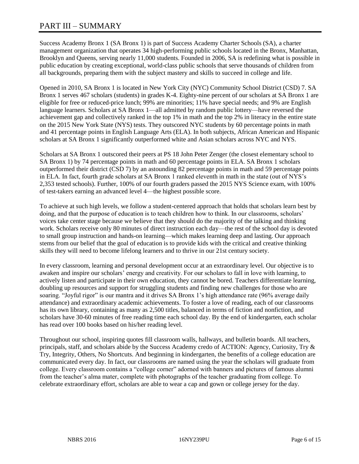Success Academy Bronx 1 (SA Bronx 1) is part of Success Academy Charter Schools (SA), a charter management organization that operates 34 high-performing public schools located in the Bronx, Manhattan, Brooklyn and Queens, serving nearly 11,000 students. Founded in 2006, SA is redefining what is possible in public education by creating exceptional, world-class public schools that serve thousands of children from all backgrounds, preparing them with the subject mastery and skills to succeed in college and life.

Opened in 2010, SA Bronx 1 is located in New York City (NYC) Community School District (CSD) 7. SA Bronx 1 serves 467 scholars (students) in grades K-4. Eighty-nine percent of our scholars at SA Bronx 1 are eligible for free or reduced-price lunch; 99% are minorities; 11% have special needs; and 9% are English language learners. Scholars at SA Bronx 1—all admitted by random public lottery—have reversed the achievement gap and collectively ranked in the top 1% in math and the top 2% in literacy in the entire state on the 2015 New York State (NYS) tests. They outscored NYC students by 60 percentage points in math and 41 percentage points in English Language Arts (ELA). In both subjects, African American and Hispanic scholars at SA Bronx 1 significantly outperformed white and Asian scholars across NYC and NYS.

Scholars at SA Bronx 1 outscored their peers at PS 18 John Peter Zenger (the closest elementary school to SA Bronx 1) by 74 percentage points in math and 60 percentage points in ELA. SA Bronx 1 scholars outperformed their district (CSD 7) by an astounding 82 percentage points in math and 59 percentage points in ELA. In fact, fourth grade scholars at SA Bronx 1 ranked eleventh in math in the state (out of NYS's 2,353 tested schools). Further, 100% of our fourth graders passed the 2015 NYS Science exam, with 100% of test-takers earning an advanced level 4—the highest possible score.

To achieve at such high levels, we follow a student-centered approach that holds that scholars learn best by doing, and that the purpose of education is to teach children how to think. In our classrooms, scholars' voices take center stage because we believe that they should do the majority of the talking and thinking work. Scholars receive only 80 minutes of direct instruction each day—the rest of the school day is devoted to small group instruction and hands-on learning—which makes learning deep and lasting. Our approach stems from our belief that the goal of education is to provide kids with the critical and creative thinking skills they will need to become lifelong learners and to thrive in our 21st century society.

In every classroom, learning and personal development occur at an extraordinary level. Our objective is to awaken and inspire our scholars' energy and creativity. For our scholars to fall in love with learning, to actively listen and participate in their own education, they cannot be bored. Teachers differentiate learning, doubling up resources and support for struggling students and finding new challenges for those who are soaring. "Joyful rigor" is our mantra and it drives SA Bronx 1's high attendance rate (96% average daily attendance) and extraordinary academic achievements. To foster a love of reading, each of our classrooms has its own library, containing as many as 2,500 titles, balanced in terms of fiction and nonfiction, and scholars have 30-60 minutes of free reading time each school day. By the end of kindergarten, each scholar has read over 100 books based on his/her reading level.

Throughout our school, inspiring quotes fill classroom walls, hallways, and bulletin boards. All teachers, principals, staff, and scholars abide by the Success Academy credo of ACTION: Agency, Curiosity, Try & Try, Integrity, Others, No Shortcuts. And beginning in kindergarten, the benefits of a college education are communicated every day. In fact, our classrooms are named using the year the scholars will graduate from college. Every classroom contains a "college corner" adorned with banners and pictures of famous alumni from the teacher's alma mater, complete with photographs of the teacher graduating from college. To celebrate extraordinary effort, scholars are able to wear a cap and gown or college jersey for the day.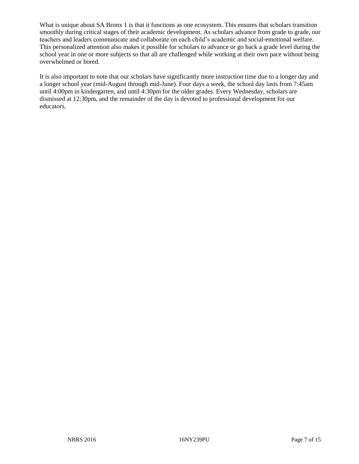What is unique about SA Bronx 1 is that it functions as one ecosystem. This ensures that scholars transition smoothly during critical stages of their academic development. As scholars advance from grade to grade, our teachers and leaders communicate and collaborate on each child's academic and social-emotional welfare. This personalized attention also makes it possible for scholars to advance or go back a grade level during the school year in one or more subjects so that all are challenged while working at their own pace without being overwhelmed or bored.

It is also important to note that our scholars have significantly more instruction time due to a longer day and a longer school year (mid-August through mid-June). Four days a week, the school day lasts from 7:45am until 4:00pm in kindergarten, and until 4:30pm for the older grades. Every Wednesday, scholars are dismissed at 12:30pm, and the remainder of the day is devoted to professional development for our educators.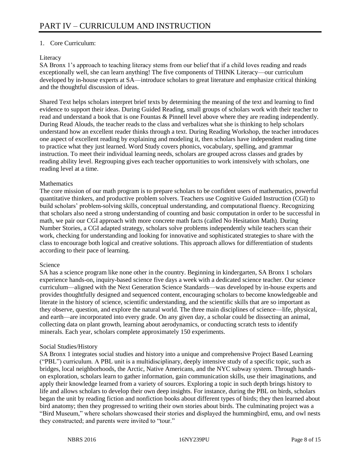# 1. Core Curriculum:

# Literacy

SA Bronx 1's approach to teaching literacy stems from our belief that if a child loves reading and reads exceptionally well, she can learn anything! The five components of THINK Literacy—our curriculum developed by in-house experts at SA—introduce scholars to great literature and emphasize critical thinking and the thoughtful discussion of ideas.

Shared Text helps scholars interpret brief texts by determining the meaning of the text and learning to find evidence to support their ideas. During Guided Reading, small groups of scholars work with their teacher to read and understand a book that is one Fountas & Pinnell level above where they are reading independently. During Read Alouds, the teacher reads to the class and verbalizes what she is thinking to help scholars understand how an excellent reader thinks through a text. During Reading Workshop, the teacher introduces one aspect of excellent reading by explaining and modeling it, then scholars have independent reading time to practice what they just learned. Word Study covers phonics, vocabulary, spelling, and grammar instruction. To meet their individual learning needs, scholars are grouped across classes and grades by reading ability level. Regrouping gives each teacher opportunities to work intensively with scholars, one reading level at a time.

## **Mathematics**

The core mission of our math program is to prepare scholars to be confident users of mathematics, powerful quantitative thinkers, and productive problem solvers. Teachers use Cognitive Guided Instruction (CGI) to build scholars' problem-solving skills, conceptual understanding, and computational fluency. Recognizing that scholars also need a strong understanding of counting and basic computation in order to be successful in math, we pair our CGI approach with more concrete math facts (called No Hesitation Math). During Number Stories, a CGI adapted strategy, scholars solve problems independently while teachers scan their work, checking for understanding and looking for innovative and sophisticated strategies to share with the class to encourage both logical and creative solutions. This approach allows for differentiation of students according to their pace of learning.

## Science

SA has a science program like none other in the country. Beginning in kindergarten, SA Bronx 1 scholars experience hands-on, inquiry-based science five days a week with a dedicated science teacher. Our science curriculum—aligned with the Next Generation Science Standards—was developed by in-house experts and provides thoughtfully designed and sequenced content, encouraging scholars to become knowledgeable and literate in the history of science, scientific understanding, and the scientific skills that are so important as they observe, question, and explore the natural world. The three main disciplines of science—life, physical, and earth—are incorporated into every grade. On any given day, a scholar could be dissecting an animal, collecting data on plant growth, learning about aerodynamics, or conducting scratch tests to identify minerals. Each year, scholars complete approximately 150 experiments.

# Social Studies/History

SA Bronx 1 integrates social studies and history into a unique and comprehensive Project Based Learning ("PBL") curriculum. A PBL unit is a multidisciplinary, deeply intensive study of a specific topic, such as bridges, local neighborhoods, the Arctic, Native Americans, and the NYC subway system. Through handson exploration, scholars learn to gather information, gain communication skills, use their imaginations, and apply their knowledge learned from a variety of sources. Exploring a topic in such depth brings history to life and allows scholars to develop their own deep insights. For instance, during the PBL on birds, scholars began the unit by reading fiction and nonfiction books about different types of birds; they then learned about bird anatomy; then they progressed to writing their own stories about birds. The culminating project was a "Bird Museum," where scholars showcased their stories and displayed the hummingbird, emu, and owl nests they constructed; and parents were invited to "tour."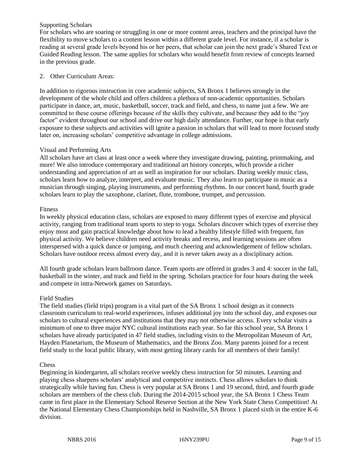## Supporting Scholars

For scholars who are soaring or struggling in one or more content areas, teachers and the principal have the flexibility to move scholars to a content lesson within a different grade level. For instance, if a scholar is reading at several grade levels beyond his or her peers, that scholar can join the next grade's Shared Text or Guided Reading lesson. The same applies for scholars who would benefit from review of concepts learned in the previous grade.

## 2. Other Curriculum Areas:

In addition to rigorous instruction in core academic subjects, SA Bronx 1 believes strongly in the development of the whole child and offers children a plethora of non-academic opportunities. Scholars participate in dance, art, music, basketball, soccer, track and field, and chess, to name just a few. We are committed to these course offerings because of the skills they cultivate, and because they add to the "joy factor" evident throughout our school and drive our high daily attendance. Further, our hope is that early exposure to these subjects and activities will ignite a passion in scholars that will lead to more focused study later on, increasing scholars' competitive advantage in college admissions.

## Visual and Performing Arts

All scholars have art class at least once a week where they investigate drawing, painting, printmaking, and more! We also introduce contemporary and traditional art history concepts, which provide a richer understanding and appreciation of art as well as inspiration for our scholars. During weekly music class, scholars learn how to analyze, interpret, and evaluate music. They also learn to participate in music as a musician through singing, playing instruments, and performing rhythms. In our concert band, fourth grade scholars learn to play the saxophone, clarinet, flute, trombone, trumpet, and percussion.

## Fitness

In weekly physical education class, scholars are exposed to many different types of exercise and physical activity, ranging from traditional team sports to step to yoga. Scholars discover which types of exercise they enjoy most and gain practical knowledge about how to lead a healthy lifestyle filled with frequent, fun physical activity. We believe children need activity breaks and recess, and learning sessions are often interspersed with a quick dance or jumping, and much cheering and acknowledgement of fellow scholars. Scholars have outdoor recess almost every day, and it is never taken away as a disciplinary action.

All fourth grade scholars learn ballroom dance. Team sports are offered in grades 3 and 4: soccer in the fall, basketball in the winter, and track and field in the spring. Scholars practice for four hours during the week and compete in intra-Network games on Saturdays.

## Field Studies

The field studies (field trips) program is a vital part of the SA Bronx 1 school design as it connects classroom curriculum to real-world experiences, infuses additional joy into the school day, and exposes our scholars to cultural experiences and institutions that they may not otherwise access. Every scholar visits a minimum of one to three major NYC cultural institutions each year. So far this school year, SA Bronx 1 scholars have already participated in 47 field studies, including visits to the Metropolitan Museum of Art, Hayden Planetarium, the Museum of Mathematics, and the Bronx Zoo. Many parents joined for a recent field study to the local public library, with most getting library cards for all members of their family!

## **Chess**

Beginning in kindergarten, all scholars receive weekly chess instruction for 50 minutes. Learning and playing chess sharpens scholars' analytical and competitive instincts. Chess allows scholars to think strategically while having fun. Chess is very popular at SA Bronx 1 and 19 second, third, and fourth grade scholars are members of the chess club. During the 2014-2015 school year, the SA Bronx 1 Chess Team came in first place in the Elementary School Reserve Section at the New York State Chess Competition! At the National Elementary Chess Championships held in Nashville, SA Bronx 1 placed sixth in the entire K-6 division.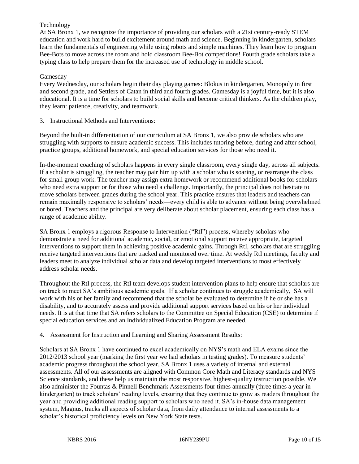# Technology

At SA Bronx 1, we recognize the importance of providing our scholars with a 21st century-ready STEM education and work hard to build excitement around math and science. Beginning in kindergarten, scholars learn the fundamentals of engineering while using robots and simple machines. They learn how to program Bee-Bots to move across the room and hold classroom Bee-Bot competitions! Fourth grade scholars take a typing class to help prepare them for the increased use of technology in middle school.

## Gamesday

Every Wednesday, our scholars begin their day playing games: Blokus in kindergarten, Monopoly in first and second grade, and Settlers of Catan in third and fourth grades. Gamesday is a joyful time, but it is also educational. It is a time for scholars to build social skills and become critical thinkers. As the children play, they learn: patience, creativity, and teamwork.

3. Instructional Methods and Interventions:

Beyond the built-in differentiation of our curriculum at SA Bronx 1, we also provide scholars who are struggling with supports to ensure academic success. This includes tutoring before, during and after school, practice groups, additional homework, and special education services for those who need it.

In-the-moment coaching of scholars happens in every single classroom, every single day, across all subjects. If a scholar is struggling, the teacher may pair him up with a scholar who is soaring, or rearrange the class for small group work. The teacher may assign extra homework or recommend additional books for scholars who need extra support or for those who need a challenge. Importantly, the principal does not hesitate to move scholars between grades during the school year. This practice ensures that leaders and teachers can remain maximally responsive to scholars' needs—every child is able to advance without being overwhelmed or bored. Teachers and the principal are very deliberate about scholar placement, ensuring each class has a range of academic ability.

SA Bronx 1 employs a rigorous Response to Intervention ("RtI") process, whereby scholars who demonstrate a need for additional academic, social, or emotional support receive appropriate, targeted interventions to support them in achieving positive academic gains. Through RtI, scholars that are struggling receive targeted interventions that are tracked and monitored over time. At weekly RtI meetings, faculty and leaders meet to analyze individual scholar data and develop targeted interventions to most effectively address scholar needs.

Throughout the RtI process, the RtI team develops student intervention plans to help ensure that scholars are on track to meet SA's ambitious academic goals. If a scholar continues to struggle academically, SA will work with his or her family and recommend that the scholar be evaluated to determine if he or she has a disability, and to accurately assess and provide additional support services based on his or her individual needs. It is at that time that SA refers scholars to the Committee on Special Education (CSE) to determine if special education services and an Individualized Education Program are needed.

## 4. Assessment for Instruction and Learning and Sharing Assessment Results:

Scholars at SA Bronx 1 have continued to excel academically on NYS's math and ELA exams since the 2012/2013 school year (marking the first year we had scholars in testing grades). To measure students' academic progress throughout the school year, SA Bronx 1 uses a variety of internal and external assessments. All of our assessments are aligned with Common Core Math and Literacy standards and NYS Science standards, and these help us maintain the most responsive, highest-quality instruction possible. We also administer the Fountas & Pinnell Benchmark Assessments four times annually (three times a year in kindergarten) to track scholars' reading levels, ensuring that they continue to grow as readers throughout the year and providing additional reading support to scholars who need it. SA's in-house data management system, Magnus, tracks all aspects of scholar data, from daily attendance to internal assessments to a scholar's historical proficiency levels on New York State tests.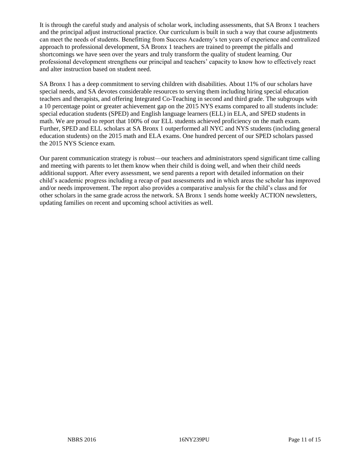It is through the careful study and analysis of scholar work, including assessments, that SA Bronx 1 teachers and the principal adjust instructional practice. Our curriculum is built in such a way that course adjustments can meet the needs of students. Benefitting from Success Academy's ten years of experience and centralized approach to professional development, SA Bronx 1 teachers are trained to preempt the pitfalls and shortcomings we have seen over the years and truly transform the quality of student learning. Our professional development strengthens our principal and teachers' capacity to know how to effectively react and alter instruction based on student need.

SA Bronx 1 has a deep commitment to serving children with disabilities. About 11% of our scholars have special needs, and SA devotes considerable resources to serving them including hiring special education teachers and therapists, and offering Integrated Co-Teaching in second and third grade. The subgroups with a 10 percentage point or greater achievement gap on the 2015 NYS exams compared to all students include: special education students (SPED) and English language learners (ELL) in ELA, and SPED students in math. We are proud to report that 100% of our ELL students achieved proficiency on the math exam. Further, SPED and ELL scholars at SA Bronx 1 outperformed all NYC and NYS students (including general education students) on the 2015 math and ELA exams. One hundred percent of our SPED scholars passed the 2015 NYS Science exam.

Our parent communication strategy is robust—our teachers and administrators spend significant time calling and meeting with parents to let them know when their child is doing well, and when their child needs additional support. After every assessment, we send parents a report with detailed information on their child's academic progress including a recap of past assessments and in which areas the scholar has improved and/or needs improvement. The report also provides a comparative analysis for the child's class and for other scholars in the same grade across the network. SA Bronx 1 sends home weekly ACTION newsletters, updating families on recent and upcoming school activities as well.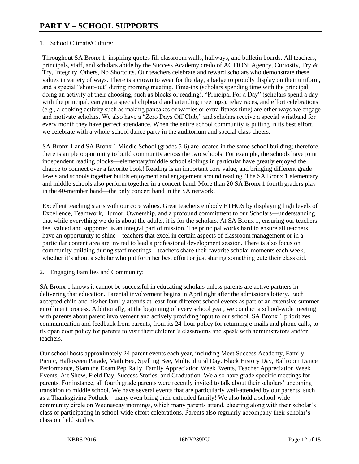# 1. School Climate/Culture:

Throughout SA Bronx 1, inspiring quotes fill classroom walls, hallways, and bulletin boards. All teachers, principals, staff, and scholars abide by the Success Academy credo of ACTION: Agency, Curiosity, Try & Try, Integrity, Others, No Shortcuts. Our teachers celebrate and reward scholars who demonstrate these values in variety of ways. There is a crown to wear for the day, a badge to proudly display on their uniform, and a special "shout-out" during morning meeting. Time-ins (scholars spending time with the principal doing an activity of their choosing, such as blocks or reading), "Principal For a Day" (scholars spend a day with the principal, carrying a special clipboard and attending meetings), relay races, and effort celebrations (e.g., a cooking activity such as making pancakes or waffles or extra fitness time) are other ways we engage and motivate scholars. We also have a "Zero Days Off Club," and scholars receive a special wristband for every month they have perfect attendance. When the entire school community is putting in its best effort, we celebrate with a whole-school dance party in the auditorium and special class cheers.

SA Bronx 1 and SA Bronx 1 Middle School (grades 5-6) are located in the same school building; therefore, there is ample opportunity to build community across the two schools. For example, the schools have joint independent reading blocks—elementary/middle school siblings in particular have greatly enjoyed the chance to connect over a favorite book! Reading is an important core value, and bringing different grade levels and schools together builds enjoyment and engagement around reading. The SA Bronx 1 elementary and middle schools also perform together in a concert band. More than 20 SA Bronx 1 fourth graders play in the 40-member band—the only concert band in the SA network!

Excellent teaching starts with our core values. Great teachers embody ETHOS by displaying high levels of Excellence, Teamwork, Humor, Ownership, and a profound commitment to our Scholars—understanding that while everything we do is about the adults, it is for the scholars. At SA Bronx 1, ensuring our teachers feel valued and supported is an integral part of mission. The principal works hard to ensure all teachers have an opportunity to shine—teachers that excel in certain aspects of classroom management or in a particular content area are invited to lead a professional development session. There is also focus on community building during staff meetings—teachers share their favorite scholar moments each week, whether it's about a scholar who put forth her best effort or just sharing something cute their class did.

2. Engaging Families and Community:

SA Bronx 1 knows it cannot be successful in educating scholars unless parents are active partners in delivering that education. Parental involvement begins in April right after the admissions lottery. Each accepted child and his/her family attends at least four different school events as part of an extensive summer enrollment process. Additionally, at the beginning of every school year, we conduct a school-wide meeting with parents about parent involvement and actively providing input to our school. SA Bronx 1 prioritizes communication and feedback from parents, from its 24-hour policy for returning e-mails and phone calls, to its open door policy for parents to visit their children's classrooms and speak with administrators and/or teachers.

Our school hosts approximately 24 parent events each year, including Meet Success Academy, Family Picnic, Halloween Parade, Math Bee, Spelling Bee, Multicultural Day, Black History Day, Ballroom Dance Performance, Slam the Exam Pep Rally, Family Appreciation Week Events, Teacher Appreciation Week Events, Art Show, Field Day, Success Stories, and Graduation. We also have grade specific meetings for parents. For instance, all fourth grade parents were recently invited to talk about their scholars' upcoming transition to middle school. We have several events that are particularly well-attended by our parents, such as a Thanksgiving Potluck—many even bring their extended family! We also hold a school-wide community circle on Wednesday mornings, which many parents attend, cheering along with their scholar's class or participating in school-wide effort celebrations. Parents also regularly accompany their scholar's class on field studies.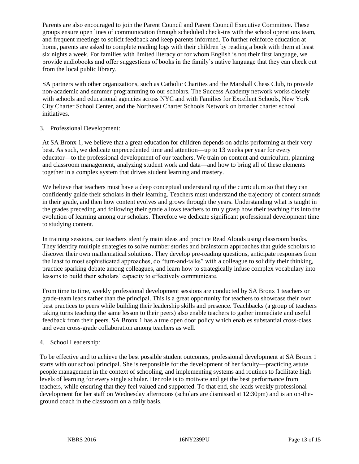Parents are also encouraged to join the Parent Council and Parent Council Executive Committee. These groups ensure open lines of communication through scheduled check-ins with the school operations team, and frequent meetings to solicit feedback and keep parents informed. To further reinforce education at home, parents are asked to complete reading logs with their children by reading a book with them at least six nights a week. For families with limited literacy or for whom English is not their first language, we provide audiobooks and offer suggestions of books in the family's native language that they can check out from the local public library.

SA partners with other organizations, such as Catholic Charities and the Marshall Chess Club, to provide non-academic and summer programming to our scholars. The Success Academy network works closely with schools and educational agencies across NYC and with Families for Excellent Schools, New York City Charter School Center, and the Northeast Charter Schools Network on broader charter school initiatives.

## 3. Professional Development:

At SA Bronx 1, we believe that a great education for children depends on adults performing at their very best. As such, we dedicate unprecedented time and attention—up to 13 weeks per year for every educator—to the professional development of our teachers. We train on content and curriculum, planning and classroom management, analyzing student work and data—and how to bring all of these elements together in a complex system that drives student learning and mastery.

We believe that teachers must have a deep conceptual understanding of the curriculum so that they can confidently guide their scholars in their learning. Teachers must understand the trajectory of content strands in their grade, and then how content evolves and grows through the years. Understanding what is taught in the grades preceding and following their grade allows teachers to truly grasp how their teaching fits into the evolution of learning among our scholars. Therefore we dedicate significant professional development time to studying content.

In training sessions, our teachers identify main ideas and practice Read Alouds using classroom books. They identify multiple strategies to solve number stories and brainstorm approaches that guide scholars to discover their own mathematical solutions. They develop pre-reading questions, anticipate responses from the least to most sophisticated approaches, do "turn-and-talks" with a colleague to solidify their thinking, practice sparking debate among colleagues, and learn how to strategically infuse complex vocabulary into lessons to build their scholars' capacity to effectively communicate.

From time to time, weekly professional development sessions are conducted by SA Bronx 1 teachers or grade-team leads rather than the principal. This is a great opportunity for teachers to showcase their own best practices to peers while building their leadership skills and presence. Teachbacks (a group of teachers taking turns teaching the same lesson to their peers) also enable teachers to gather immediate and useful feedback from their peers. SA Bronx 1 has a true open door policy which enables substantial cross-class and even cross-grade collaboration among teachers as well.

## 4. School Leadership:

To be effective and to achieve the best possible student outcomes, professional development at SA Bronx 1 starts with our school principal. She is responsible for the development of her faculty—practicing astute people management in the context of schooling, and implementing systems and routines to facilitate high levels of learning for every single scholar. Her role is to motivate and get the best performance from teachers, while ensuring that they feel valued and supported. To that end, she leads weekly professional development for her staff on Wednesday afternoons (scholars are dismissed at 12:30pm) and is an on-theground coach in the classroom on a daily basis.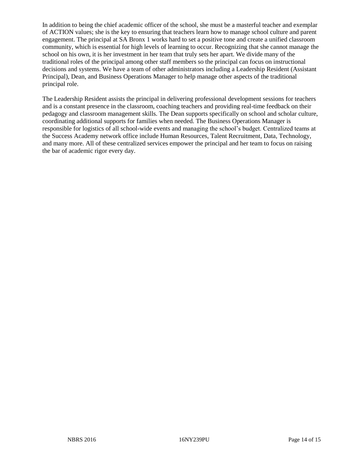In addition to being the chief academic officer of the school, she must be a masterful teacher and exemplar of ACTION values; she is the key to ensuring that teachers learn how to manage school culture and parent engagement. The principal at SA Bronx 1 works hard to set a positive tone and create a unified classroom community, which is essential for high levels of learning to occur. Recognizing that she cannot manage the school on his own, it is her investment in her team that truly sets her apart. We divide many of the traditional roles of the principal among other staff members so the principal can focus on instructional decisions and systems. We have a team of other administrators including a Leadership Resident (Assistant Principal), Dean, and Business Operations Manager to help manage other aspects of the traditional principal role.

The Leadership Resident assists the principal in delivering professional development sessions for teachers and is a constant presence in the classroom, coaching teachers and providing real-time feedback on their pedagogy and classroom management skills. The Dean supports specifically on school and scholar culture, coordinating additional supports for families when needed. The Business Operations Manager is responsible for logistics of all school-wide events and managing the school's budget. Centralized teams at the Success Academy network office include Human Resources, Talent Recruitment, Data, Technology, and many more. All of these centralized services empower the principal and her team to focus on raising the bar of academic rigor every day.